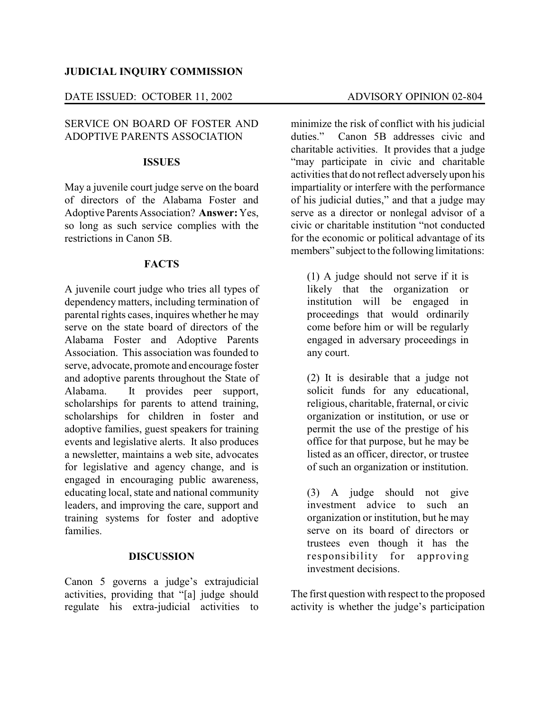### **JUDICIAL INQUIRY COMMISSION**

## DATE ISSUED: OCTOBER 11, 2002 ADVISORY OPINION 02-804

# SERVICE ON BOARD OF FOSTER AND ADOPTIVE PARENTS ASSOCIATION

#### **ISSUES**

May a juvenile court judge serve on the board of directors of the Alabama Foster and Adoptive Parents Association? **Answer:**Yes, so long as such service complies with the restrictions in Canon 5B.

### **FACTS**

A juvenile court judge who tries all types of dependency matters, including termination of parental rights cases, inquires whether he may serve on the state board of directors of the Alabama Foster and Adoptive Parents Association. This association was founded to serve, advocate, promote and encourage foster and adoptive parents throughout the State of Alabama. It provides peer support, scholarships for parents to attend training, scholarships for children in foster and adoptive families, guest speakers for training events and legislative alerts. It also produces a newsletter, maintains a web site, advocates for legislative and agency change, and is engaged in encouraging public awareness, educating local, state and national community leaders, and improving the care, support and training systems for foster and adoptive families.

#### **DISCUSSION**

Canon 5 governs a judge's extrajudicial activities, providing that "[a] judge should regulate his extra-judicial activities to minimize the risk of conflict with his judicial duties." Canon 5B addresses civic and charitable activities. It provides that a judge "may participate in civic and charitable activities that do not reflect adversely upon his impartiality or interfere with the performance of his judicial duties," and that a judge may serve as a director or nonlegal advisor of a civic or charitable institution "not conducted for the economic or political advantage of its members" subject to the following limitations:

(1) A judge should not serve if it is likely that the organization or institution will be engaged in proceedings that would ordinarily come before him or will be regularly engaged in adversary proceedings in any court.

(2) It is desirable that a judge not solicit funds for any educational, religious, charitable, fraternal, or civic organization or institution, or use or permit the use of the prestige of his office for that purpose, but he may be listed as an officer, director, or trustee of such an organization or institution.

(3) A judge should not give investment advice to such an organization or institution, but he may serve on its board of directors or trustees even though it has the responsibility for approving investment decisions.

The first question with respect to the proposed activity is whether the judge's participation